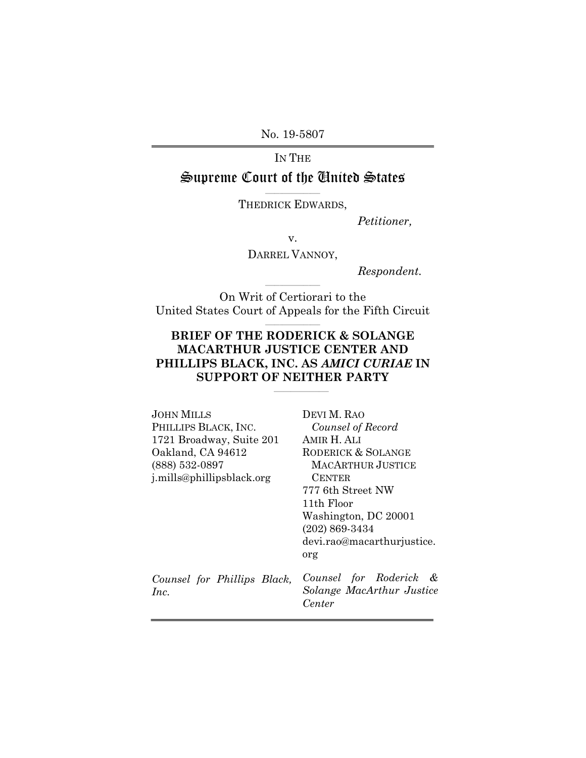No. 19-5807

# IN THE

# Supreme Court of the United States

 $\mathcal{L}_\text{max}$  and  $\mathcal{L}_\text{max}$  and  $\mathcal{L}_\text{max}$ THEDRICK EDWARDS,

*Petitioner,*

v.

DARREL VANNOY,

*Respondent.*

On Writ of Certiorari to the United States Court of Appeals for the Fifth Circuit  $\mathcal{L}=\{1,2,3,4,5\}$  , we can also the set of the set of the set of the set of the set of the set of the set of the set of the set of the set of the set of the set of the set of the set of the set of the set of the set o

 $\mathcal{L}=\{1,2,3,4,5\}$  , we can also the set of the set of the set of the set of the set of the set of the set of the set of the set of the set of the set of the set of the set of the set of the set of the set of the set o

### **BRIEF OF THE RODERICK & SOLANGE MACARTHUR JUSTICE CENTER AND PHILLIPS BLACK, INC. AS** *AMICI CURIAE* **IN SUPPORT OF NEITHER PARTY**

 $\mathcal{L}=\{1,2,3,4,5\}$  , we can also the set of the set of the set of the set of the set of the set of the set of the set of the set of the set of the set of the set of the set of the set of the set of the set of the set o

| JOHN MILLS<br>PHILLIPS BLACK, INC.<br>1721 Broadway, Suite 201<br>Oakland, CA 94612<br>(888) 532-0897<br>j.mills@phillipsblack.org | DEVI M. RAO<br>Counsel of Record<br>AMIR H. ALI<br>RODERICK & SOLANGE<br>MACARTHUR JUSTICE<br><b>CENTER</b><br>777 6th Street NW<br>11th Floor<br>Washington, DC 20001<br>$(202) 869 - 3434$<br>devi.rao@macarthurjustice.<br>org |
|------------------------------------------------------------------------------------------------------------------------------------|-----------------------------------------------------------------------------------------------------------------------------------------------------------------------------------------------------------------------------------|
| Counsel for Phillips Black,<br>Inc.                                                                                                | Counsel for Roderick &<br>Solange MacArthur Justice<br>Center                                                                                                                                                                     |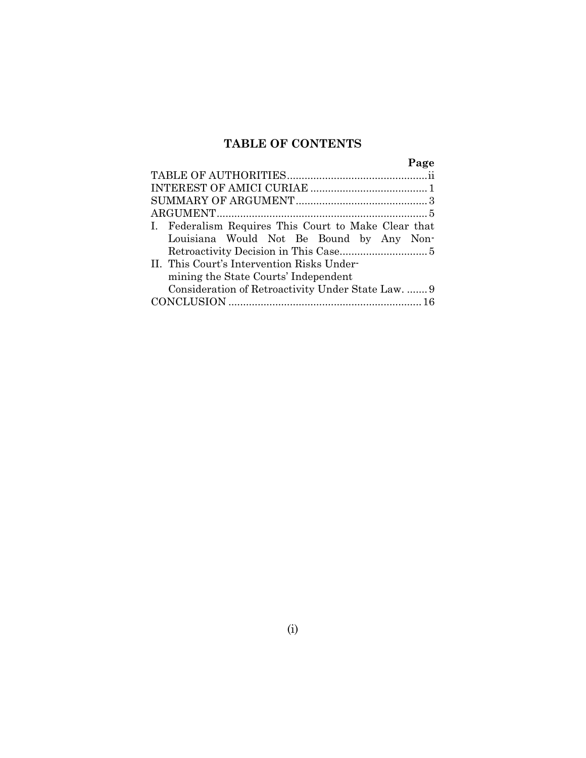# **TABLE OF CONTENTS**

|                                                      | Page |
|------------------------------------------------------|------|
|                                                      |      |
|                                                      |      |
|                                                      |      |
|                                                      |      |
| I. Federalism Requires This Court to Make Clear that |      |
| Louisiana Would Not Be Bound by Any Non-             |      |
|                                                      |      |
| II. This Court's Intervention Risks Under-           |      |
| mining the State Courts' Independent                 |      |
| Consideration of Retroactivity Under State Law.  9   |      |
|                                                      |      |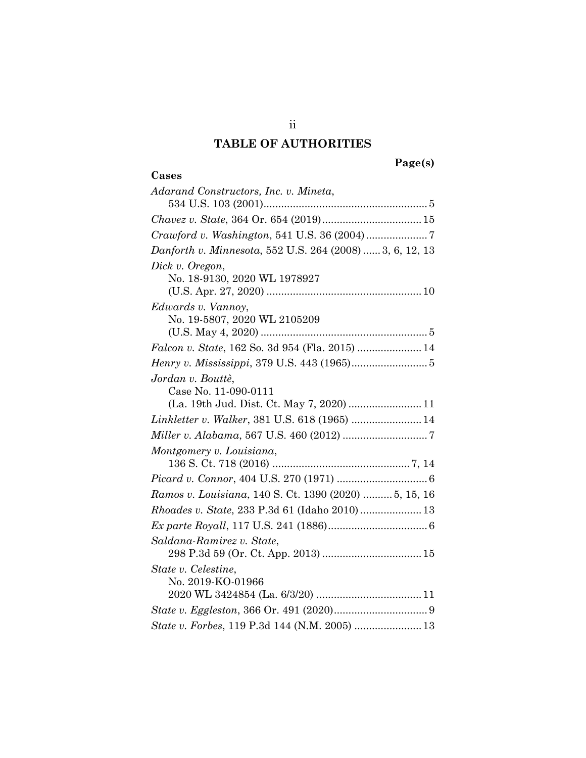# **TABLE OF AUTHORITIES**

#### **Page(s)**

#### <span id="page-2-0"></span>**Cases**

| Adarand Constructors, Inc. v. Mineta,                    |  |
|----------------------------------------------------------|--|
|                                                          |  |
|                                                          |  |
|                                                          |  |
| Danforth v. Minnesota, 552 U.S. 264 (2008)  3, 6, 12, 13 |  |
| Dick v. Oregon,                                          |  |
| No. 18-9130, 2020 WL 1978927                             |  |
|                                                          |  |
| Edwards v. Vannoy,                                       |  |
| No. 19-5807, 2020 WL 2105209                             |  |
|                                                          |  |
|                                                          |  |
|                                                          |  |
| Jordan v. Boutté,                                        |  |
| Case No. 11-090-0111                                     |  |

| Jordan v. Bouttè,                                     |  |
|-------------------------------------------------------|--|
| Case No. 11-090-0111                                  |  |
|                                                       |  |
| Linkletter v. Walker, 381 U.S. 618 (1965)  14         |  |
|                                                       |  |
| Montgomery v. Louisiana,                              |  |
|                                                       |  |
|                                                       |  |
| Ramos v. Louisiana, 140 S. Ct. 1390 (2020)  5, 15, 16 |  |
| <i>Rhoades v. State, 233 P.3d 61 (Idaho 2010)  13</i> |  |
|                                                       |  |
| Saldana-Ramirez v. State,                             |  |
|                                                       |  |
| State v. Celestine,                                   |  |
| No. 2019-KO-01966                                     |  |
|                                                       |  |
|                                                       |  |
| State v. Forbes, 119 P.3d 144 (N.M. 2005)  13         |  |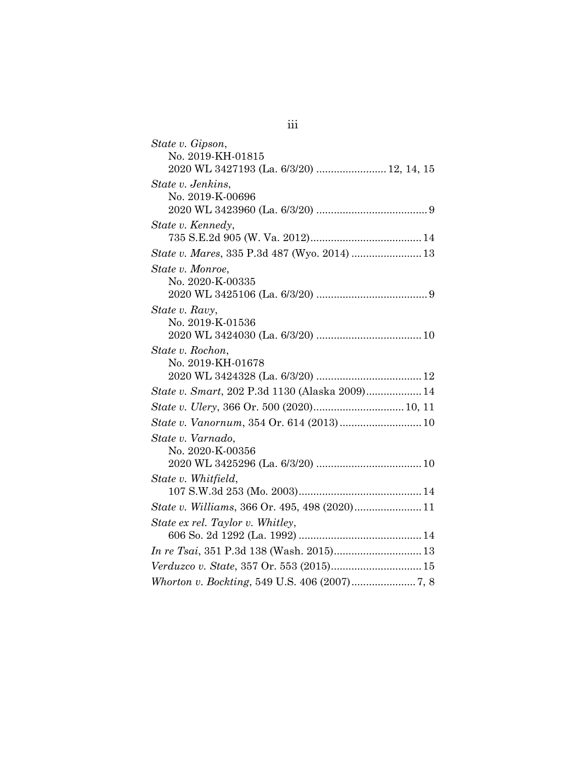| State v. Gipson,                               |
|------------------------------------------------|
| No. 2019-KH-01815                              |
| 2020 WL 3427193 (La. 6/3/20)  12, 14, 15       |
| State v. Jenkins,                              |
| No. 2019-K-00696                               |
|                                                |
| State v. Kennedy,                              |
|                                                |
| State v. Mares, 335 P.3d 487 (Wyo. 2014)  13   |
| State v. Monroe,                               |
| No. 2020-K-00335                               |
|                                                |
| State v. Ravy,                                 |
| No. 2019-K-01536                               |
|                                                |
| State v. Rochon,                               |
| No. 2019-KH-01678                              |
|                                                |
| State v. Smart, 202 P.3d 1130 (Alaska 2009) 14 |
|                                                |
|                                                |
| State v. Varnado,                              |
| No. 2020-K-00356                               |
|                                                |
| State v. Whitfield,                            |
|                                                |
|                                                |
| State ex rel. Taylor v. Whitley,               |
|                                                |
| In re Tsai, 351 P.3d 138 (Wash. 2015) 13       |
|                                                |
|                                                |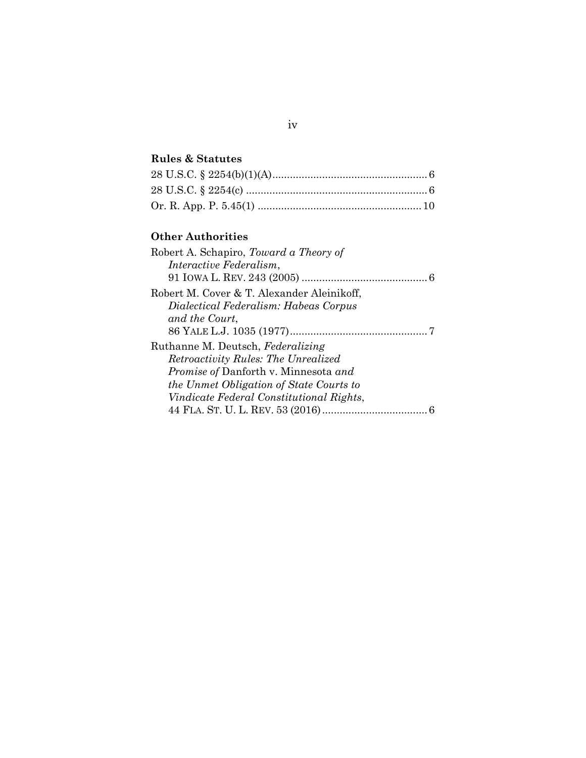#### **Rules & Statutes**

### **Other Authorities**

| Robert A. Schapiro, Toward a Theory of      |  |
|---------------------------------------------|--|
| Interactive Federalism,                     |  |
|                                             |  |
| Robert M. Cover & T. Alexander Aleinikoff,  |  |
| Dialectical Federalism: Habeas Corpus       |  |
| and the Court,                              |  |
|                                             |  |
| Ruthanne M. Deutsch, Federalizing           |  |
| Retroactivity Rules: The Unrealized         |  |
| <i>Promise of Danforth v. Minnesota and</i> |  |
| the Unmet Obligation of State Courts to     |  |
| Vindicate Federal Constitutional Rights,    |  |
|                                             |  |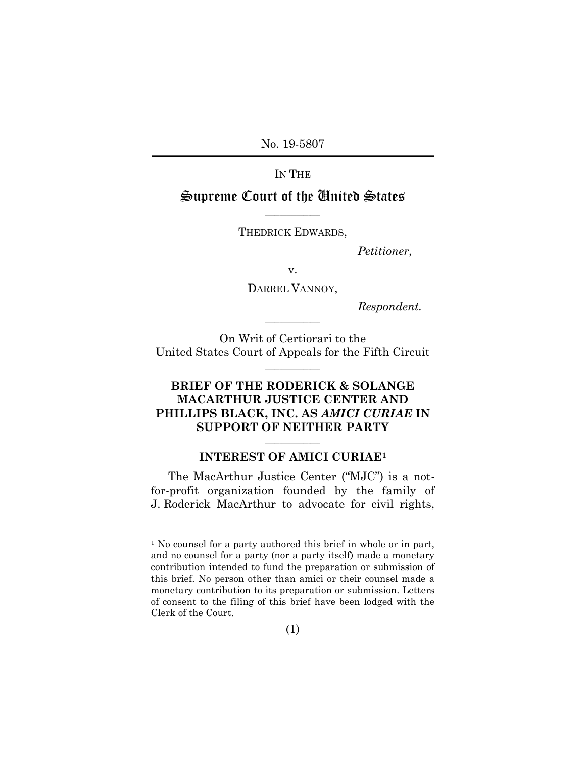No. 19-5807

IN THE

#### Supreme Court of the United States  $\mathcal{L}_\text{max}$  and  $\mathcal{L}_\text{max}$  and  $\mathcal{L}_\text{max}$

THEDRICK EDWARDS,

*Petitioner,*

v.

DARREL VANNOY,

*Respondent.*

On Writ of Certiorari to the United States Court of Appeals for the Fifth Circuit

 $\mathcal{L}_\text{max}$  and  $\mathcal{L}_\text{max}$  and  $\mathcal{L}_\text{max}$ 

 $\mathcal{L}_\text{max}$  and  $\mathcal{L}_\text{max}$  and  $\mathcal{L}_\text{max}$ 

#### **BRIEF OF THE RODERICK & SOLANGE MACARTHUR JUSTICE CENTER AND PHILLIPS BLACK, INC. AS** *AMICI CURIAE* **IN SUPPORT OF NEITHER PARTY**

#### $\mathcal{L}_\text{max}$  and  $\mathcal{L}_\text{max}$  and  $\mathcal{L}_\text{max}$ **INTEREST OF AMICI CURIAE<sup>1</sup>**

<span id="page-5-0"></span>The MacArthur Justice Center ("MJC") is a notfor-profit organization founded by the family of J. Roderick MacArthur to advocate for civil rights,

l

<sup>&</sup>lt;sup>1</sup> No counsel for a party authored this brief in whole or in part, and no counsel for a party (nor a party itself) made a monetary contribution intended to fund the preparation or submission of this brief. No person other than amici or their counsel made a monetary contribution to its preparation or submission. Letters of consent to the filing of this brief have been lodged with the Clerk of the Court.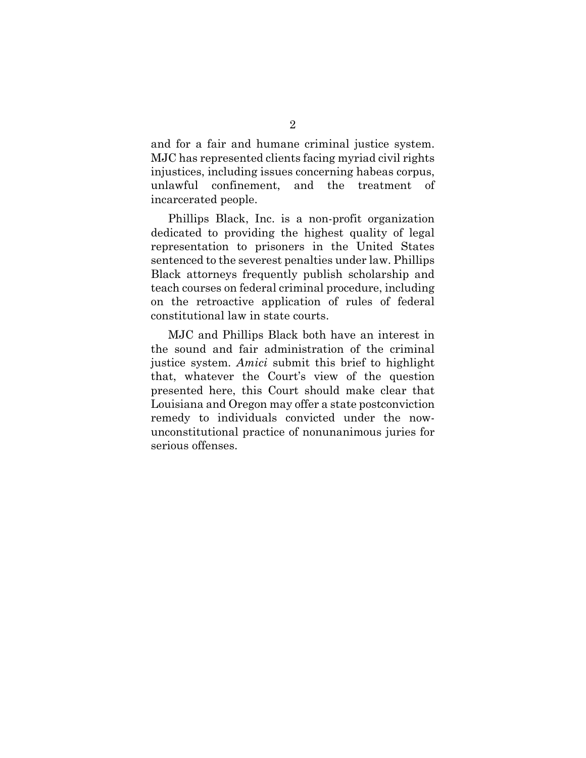and for a fair and humane criminal justice system. MJC has represented clients facing myriad civil rights injustices, including issues concerning habeas corpus, unlawful confinement, and the treatment of incarcerated people.

Phillips Black, Inc. is a non-profit organization dedicated to providing the highest quality of legal representation to prisoners in the United States sentenced to the severest penalties under law. Phillips Black attorneys frequently publish scholarship and teach courses on federal criminal procedure, including on the retroactive application of rules of federal constitutional law in state courts.

MJC and Phillips Black both have an interest in the sound and fair administration of the criminal justice system. *Amici* submit this brief to highlight that, whatever the Court's view of the question presented here, this Court should make clear that Louisiana and Oregon may offer a state postconviction remedy to individuals convicted under the nowunconstitutional practice of nonunanimous juries for serious offenses.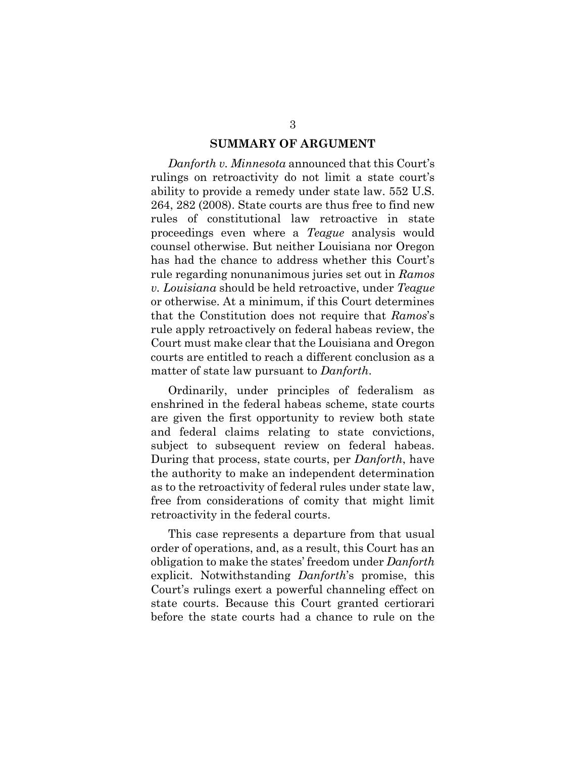#### <span id="page-7-1"></span>**SUMMARY OF ARGUMENT**

<span id="page-7-0"></span>*Danforth v. Minnesota* announced that this Court's rulings on retroactivity do not limit a state court's ability to provide a remedy under state law. 552 U.S. 264, 282 (2008). State courts are thus free to find new rules of constitutional law retroactive in state proceedings even where a *Teague* analysis would counsel otherwise. But neither Louisiana nor Oregon has had the chance to address whether this Court's rule regarding nonunanimous juries set out in *Ramos v. Louisiana* should be held retroactive, under *Teague* or otherwise. At a minimum, if this Court determines that the Constitution does not require that *Ramos*'s rule apply retroactively on federal habeas review, the Court must make clear that the Louisiana and Oregon courts are entitled to reach a different conclusion as a matter of state law pursuant to *Danforth*.

Ordinarily, under principles of federalism as enshrined in the federal habeas scheme, state courts are given the first opportunity to review both state and federal claims relating to state convictions, subject to subsequent review on federal habeas. During that process, state courts, per *Danforth*, have the authority to make an independent determination as to the retroactivity of federal rules under state law, free from considerations of comity that might limit retroactivity in the federal courts.

This case represents a departure from that usual order of operations, and, as a result, this Court has an obligation to make the states' freedom under *Danforth* explicit. Notwithstanding *Danforth*'s promise, this Court's rulings exert a powerful channeling effect on state courts. Because this Court granted certiorari before the state courts had a chance to rule on the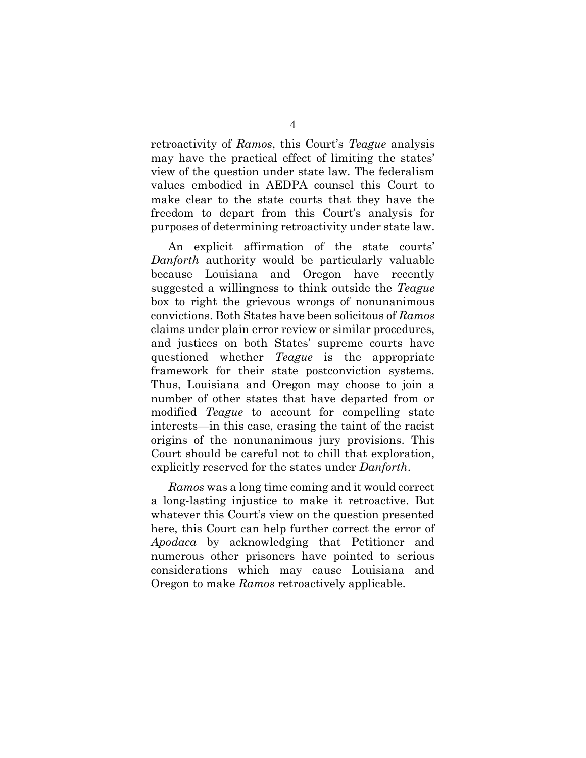retroactivity of *Ramos*, this Court's *Teague* analysis may have the practical effect of limiting the states' view of the question under state law. The federalism values embodied in AEDPA counsel this Court to make clear to the state courts that they have the freedom to depart from this Court's analysis for purposes of determining retroactivity under state law.

An explicit affirmation of the state courts' *Danforth* authority would be particularly valuable because Louisiana and Oregon have recently suggested a willingness to think outside the *Teague* box to right the grievous wrongs of nonunanimous convictions. Both States have been solicitous of *Ramos* claims under plain error review or similar procedures, and justices on both States' supreme courts have questioned whether *Teague* is the appropriate framework for their state postconviction systems. Thus, Louisiana and Oregon may choose to join a number of other states that have departed from or modified *Teague* to account for compelling state interests—in this case, erasing the taint of the racist origins of the nonunanimous jury provisions. This Court should be careful not to chill that exploration, explicitly reserved for the states under *Danforth*.

*Ramos* was a long time coming and it would correct a long-lasting injustice to make it retroactive. But whatever this Court's view on the question presented here, this Court can help further correct the error of *Apodaca* by acknowledging that Petitioner and numerous other prisoners have pointed to serious considerations which may cause Louisiana and Oregon to make *Ramos* retroactively applicable.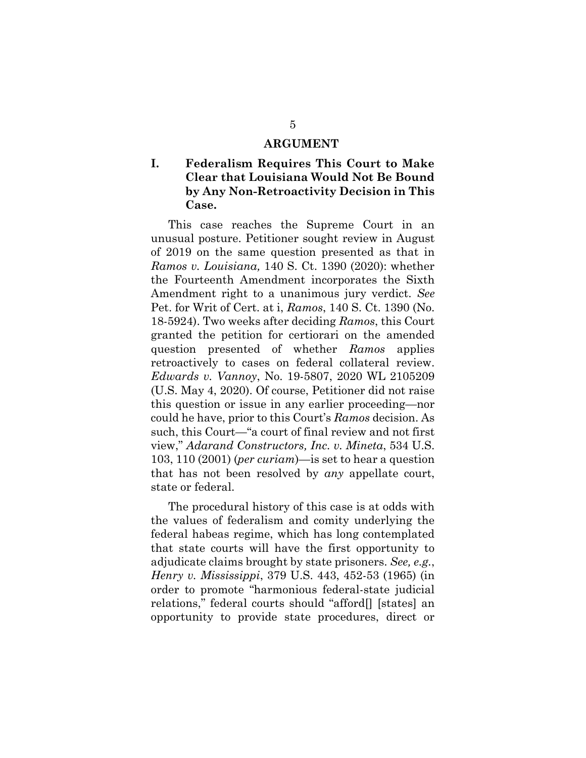#### **ARGUMENT**

#### <span id="page-9-1"></span><span id="page-9-0"></span>**I. Federalism Requires This Court to Make Clear that Louisiana Would Not Be Bound by Any Non-Retroactivity Decision in This Case.**

<span id="page-9-5"></span>This case reaches the Supreme Court in an unusual posture. Petitioner sought review in August of 2019 on the same question presented as that in *Ramos v. Louisiana,* 140 S. Ct. 1390 (2020): whether the Fourteenth Amendment incorporates the Sixth Amendment right to a unanimous jury verdict. *See*  Pet. for Writ of Cert. at i, *Ramos*, 140 S. Ct. 1390 (No. 18-5924). Two weeks after deciding *Ramos*, this Court granted the petition for certiorari on the amended question presented of whether *Ramos* applies retroactively to cases on federal collateral review. *Edwards v. Vannoy*, No. 19-5807, 2020 WL 2105209 (U.S. May 4, 2020). Of course, Petitioner did not raise this question or issue in any earlier proceeding—nor could he have, prior to this Court's *Ramos* decision. As such, this Court—"a court of final review and not first view," *Adarand Constructors, Inc. v. Mineta*, 534 U.S. 103, 110 (2001) (*per curiam*)—is set to hear a question that has not been resolved by *any* appellate court, state or federal.

<span id="page-9-4"></span><span id="page-9-3"></span><span id="page-9-2"></span>The procedural history of this case is at odds with the values of federalism and comity underlying the federal habeas regime, which has long contemplated that state courts will have the first opportunity to adjudicate claims brought by state prisoners. *See, e.g.*, *Henry v. Mississippi*, 379 U.S. 443, 452-53 (1965) (in order to promote "harmonious federal-state judicial relations," federal courts should "afford[] [states] an opportunity to provide state procedures, direct or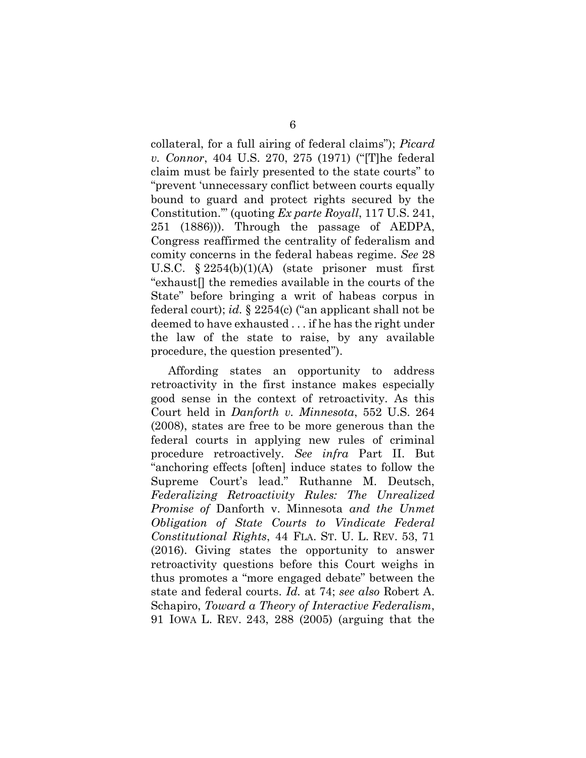<span id="page-10-3"></span><span id="page-10-2"></span><span id="page-10-1"></span>collateral, for a full airing of federal claims"); *Picard v. Connor*, 404 U.S. 270, 275 (1971) ("[T]he federal claim must be fairly presented to the state courts" to "prevent 'unnecessary conflict between courts equally bound to guard and protect rights secured by the Constitution.'" (quoting *Ex parte Royall*, 117 U.S. 241, 251 (1886))). Through the passage of AEDPA, Congress reaffirmed the centrality of federalism and comity concerns in the federal habeas regime. *See* 28 U.S.C. § 2254(b)(1)(A) (state prisoner must first "exhaust[] the remedies available in the courts of the State" before bringing a writ of habeas corpus in federal court); *id.* § 2254(c) ("an applicant shall not be deemed to have exhausted . . . if he has the right under the law of the state to raise, by any available procedure, the question presented").

<span id="page-10-6"></span><span id="page-10-5"></span><span id="page-10-4"></span><span id="page-10-0"></span>Affording states an opportunity to address retroactivity in the first instance makes especially good sense in the context of retroactivity. As this Court held in *Danforth v. Minnesota*, 552 U.S. 264 (2008), states are free to be more generous than the federal courts in applying new rules of criminal procedure retroactively. *See infra* Part II. But "anchoring effects [often] induce states to follow the Supreme Court's lead." Ruthanne M. Deutsch, *Federalizing Retroactivity Rules: The Unrealized Promise of* Danforth v. Minnesota *and the Unmet Obligation of State Courts to Vindicate Federal Constitutional Rights*, 44 FLA. ST. U. L. REV. 53, 71 (2016). Giving states the opportunity to answer retroactivity questions before this Court weighs in thus promotes a "more engaged debate" between the state and federal courts. *Id.* at 74; *see also* Robert A. Schapiro, *Toward a Theory of Interactive Federalism*, 91 IOWA L. REV. 243, 288 (2005) (arguing that the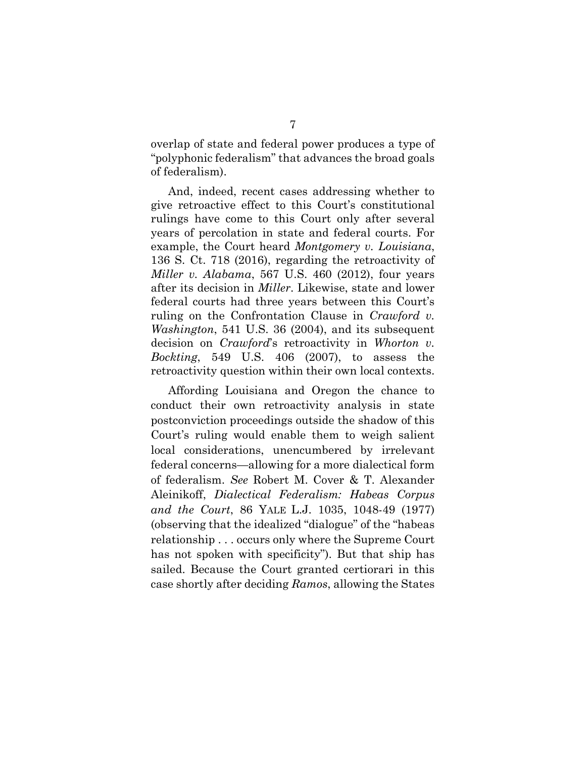overlap of state and federal power produces a type of "polyphonic federalism" that advances the broad goals of federalism).

<span id="page-11-2"></span><span id="page-11-1"></span>And, indeed, recent cases addressing whether to give retroactive effect to this Court's constitutional rulings have come to this Court only after several years of percolation in state and federal courts. For example, the Court heard *Montgomery v. Louisiana*, 136 S. Ct. 718 (2016), regarding the retroactivity of *Miller v. Alabama*, 567 U.S. 460 (2012), four years after its decision in *Miller*. Likewise, state and lower federal courts had three years between this Court's ruling on the Confrontation Clause in *Crawford v. Washington*, 541 U.S. 36 (2004), and its subsequent decision on *Crawford*'s retroactivity in *Whorton v. Bockting*, 549 U.S. 406 (2007), to assess the retroactivity question within their own local contexts.

<span id="page-11-4"></span><span id="page-11-3"></span><span id="page-11-0"></span>Affording Louisiana and Oregon the chance to conduct their own retroactivity analysis in state postconviction proceedings outside the shadow of this Court's ruling would enable them to weigh salient local considerations, unencumbered by irrelevant federal concerns—allowing for a more dialectical form of federalism. *See* Robert M. Cover & T. Alexander Aleinikoff, *Dialectical Federalism: Habeas Corpus and the Court*, 86 YALE L.J. 1035, 1048-49 (1977) (observing that the idealized "dialogue" of the "habeas relationship . . . occurs only where the Supreme Court has not spoken with specificity"). But that ship has sailed. Because the Court granted certiorari in this case shortly after deciding *Ramos*, allowing the States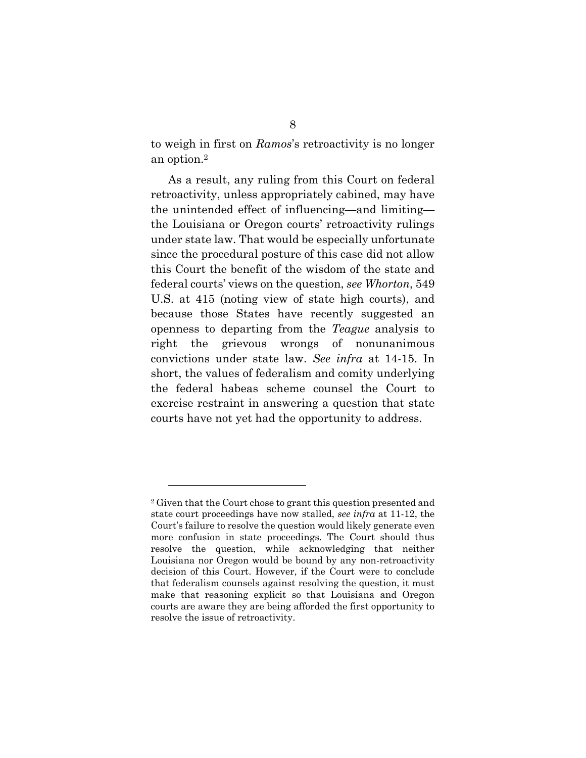to weigh in first on *Ramos*'s retroactivity is no longer an option.<sup>2</sup>

<span id="page-12-0"></span>As a result, any ruling from this Court on federal retroactivity, unless appropriately cabined, may have the unintended effect of influencing—and limiting the Louisiana or Oregon courts' retroactivity rulings under state law. That would be especially unfortunate since the procedural posture of this case did not allow this Court the benefit of the wisdom of the state and federal courts' views on the question, *see Whorton*, 549 U.S. at 415 (noting view of state high courts), and because those States have recently suggested an openness to departing from the *Teague* analysis to right the grievous wrongs of nonunanimous convictions under state law. *See infra* at 14-15. In short, the values of federalism and comity underlying the federal habeas scheme counsel the Court to exercise restraint in answering a question that state courts have not yet had the opportunity to address.

<sup>2</sup> Given that the Court chose to grant this question presented and state court proceedings have now stalled, *see infra* at 11-12, the Court's failure to resolve the question would likely generate even more confusion in state proceedings. The Court should thus resolve the question, while acknowledging that neither Louisiana nor Oregon would be bound by any non-retroactivity decision of this Court. However, if the Court were to conclude that federalism counsels against resolving the question, it must make that reasoning explicit so that Louisiana and Oregon courts are aware they are being afforded the first opportunity to resolve the issue of retroactivity.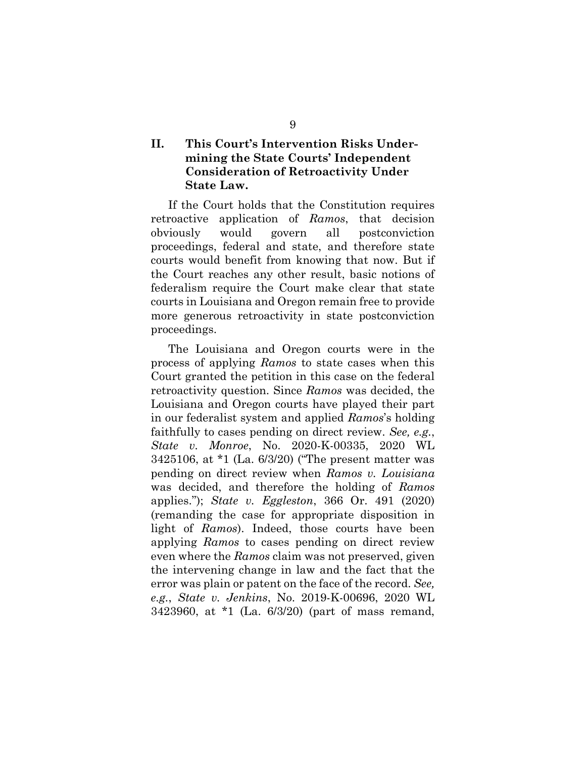#### <span id="page-13-0"></span>**II. This Court's Intervention Risks Undermining the State Courts' Independent Consideration of Retroactivity Under State Law.**

If the Court holds that the Constitution requires retroactive application of *Ramos*, that decision obviously would govern all postconviction proceedings, federal and state, and therefore state courts would benefit from knowing that now. But if the Court reaches any other result, basic notions of federalism require the Court make clear that state courts in Louisiana and Oregon remain free to provide more generous retroactivity in state postconviction proceedings.

<span id="page-13-3"></span><span id="page-13-2"></span><span id="page-13-1"></span>The Louisiana and Oregon courts were in the process of applying *Ramos* to state cases when this Court granted the petition in this case on the federal retroactivity question. Since *Ramos* was decided, the Louisiana and Oregon courts have played their part in our federalist system and applied *Ramos*'s holding faithfully to cases pending on direct review. *See, e.g.*, *State v. Monroe*, No. 2020-K-00335, 2020 WL 3425106, at \*1 (La. 6/3/20) ("The present matter was pending on direct review when *Ramos v. Louisiana* was decided, and therefore the holding of *Ramos* applies."); *State v. Eggleston*, 366 Or. 491 (2020) (remanding the case for appropriate disposition in light of *Ramos*). Indeed, those courts have been applying *Ramos* to cases pending on direct review even where the *Ramos* claim was not preserved, given the intervening change in law and the fact that the error was plain or patent on the face of the record. *See, e.g.*, *State v. Jenkins*, No. 2019-K-00696, 2020 WL 3423960, at \*1 (La. 6/3/20) (part of mass remand,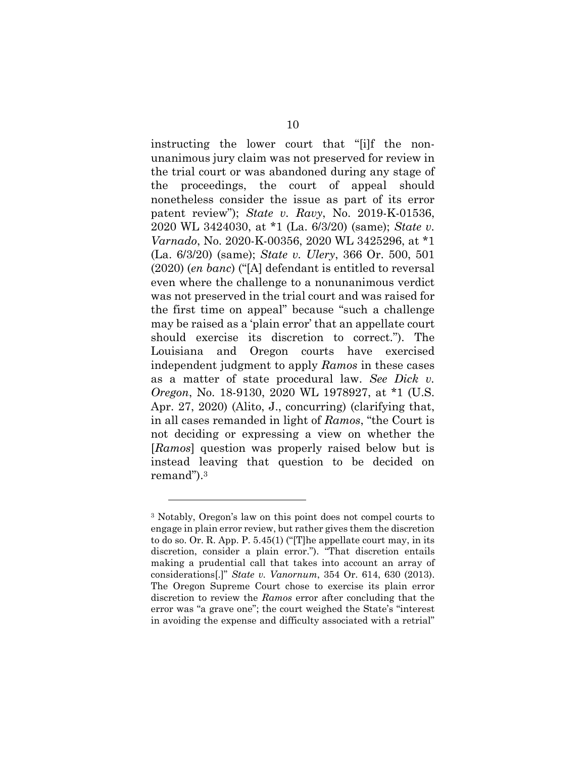<span id="page-14-4"></span><span id="page-14-2"></span><span id="page-14-1"></span>instructing the lower court that "[i]f the nonunanimous jury claim was not preserved for review in the trial court or was abandoned during any stage of the proceedings, the court of appeal should nonetheless consider the issue as part of its error patent review"); *State v. Ravy*, No. 2019-K-01536, 2020 WL 3424030, at \*1 (La. 6/3/20) (same); *State v. Varnado*, No. 2020-K-00356, 2020 WL 3425296, at \*1 (La. 6/3/20) (same); *State v. Ulery*, 366 Or. 500, 501 (2020) (*en banc*) ("[A] defendant is entitled to reversal even where the challenge to a nonunanimous verdict was not preserved in the trial court and was raised for the first time on appeal" because "such a challenge may be raised as a 'plain error' that an appellate court should exercise its discretion to correct."). The Louisiana and Oregon courts have exercised independent judgment to apply *Ramos* in these cases as a matter of state procedural law. *See Dick v. Oregon*, No. 18-9130, 2020 WL 1978927, at \*1 (U.S. Apr. 27, 2020) (Alito, J., concurring) (clarifying that, in all cases remanded in light of *Ramos*, "the Court is not deciding or expressing a view on whether the [*Ramos*] question was properly raised below but is instead leaving that question to be decided on remand").<sup>3</sup>

<span id="page-14-5"></span><span id="page-14-3"></span><span id="page-14-0"></span>

<sup>3</sup> Notably, Oregon's law on this point does not compel courts to engage in plain error review, but rather gives them the discretion to do so. Or. R. App. P. 5.45(1) ("[T]he appellate court may, in its discretion, consider a plain error."). "That discretion entails making a prudential call that takes into account an array of considerations[.]" *State v. Vanornum*, 354 Or. 614, 630 (2013). The Oregon Supreme Court chose to exercise its plain error discretion to review the *Ramos* error after concluding that the error was "a grave one"; the court weighed the State's "interest in avoiding the expense and difficulty associated with a retrial"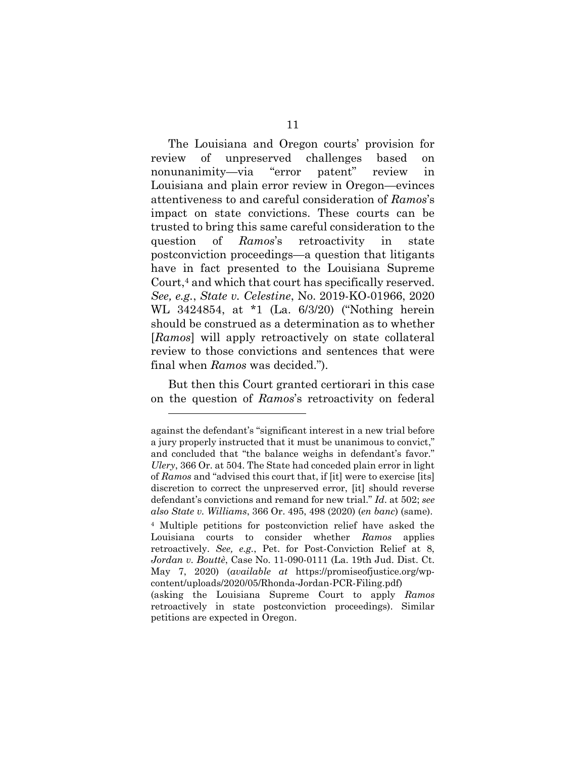The Louisiana and Oregon courts' provision for review of unpreserved challenges based on nonunanimity—via "error patent" review in Louisiana and plain error review in Oregon—evinces attentiveness to and careful consideration of *Ramos*'s impact on state convictions. These courts can be trusted to bring this same careful consideration to the question of *Ramos*'s retroactivity in state postconviction proceedings—a question that litigants have in fact presented to the Louisiana Supreme Court,<sup>4</sup> and which that court has specifically reserved. *See, e.g.*, *State v. Celestine*, No. 2019-KO-01966, 2020 WL 3424854, at \*1 (La. 6/3/20) ("Nothing herein should be construed as a determination as to whether [*Ramos*] will apply retroactively on state collateral review to those convictions and sentences that were final when *Ramos* was decided.").

<span id="page-15-1"></span>But then this Court granted certiorari in this case on the question of *Ramos*'s retroactivity on federal

l

<span id="page-15-2"></span>against the defendant's "significant interest in a new trial before a jury properly instructed that it must be unanimous to convict," and concluded that "the balance weighs in defendant's favor." *Ulery*, 366 Or. at 504. The State had conceded plain error in light of *Ramos* and "advised this court that, if [it] were to exercise [its] discretion to correct the unpreserved error, [it] should reverse defendant's convictions and remand for new trial." *Id*. at 502; *see also State v. Williams*, 366 Or. 495, 498 (2020) (*en banc*) (same).

<span id="page-15-3"></span><span id="page-15-0"></span><sup>4</sup> Multiple petitions for postconviction relief have asked the Louisiana courts to consider whether *Ramos* applies retroactively. *See, e.g.*, Pet. for Post-Conviction Relief at 8, *Jordan v. Bouttè*, Case No. 11-090-0111 (La. 19th Jud. Dist. Ct. May 7, 2020) (*available at* https://promiseofjustice.org/wpcontent/uploads/2020/05/Rhonda-Jordan-PCR-Filing.pdf) (asking the Louisiana Supreme Court to apply *Ramos*

retroactively in state postconviction proceedings). Similar petitions are expected in Oregon.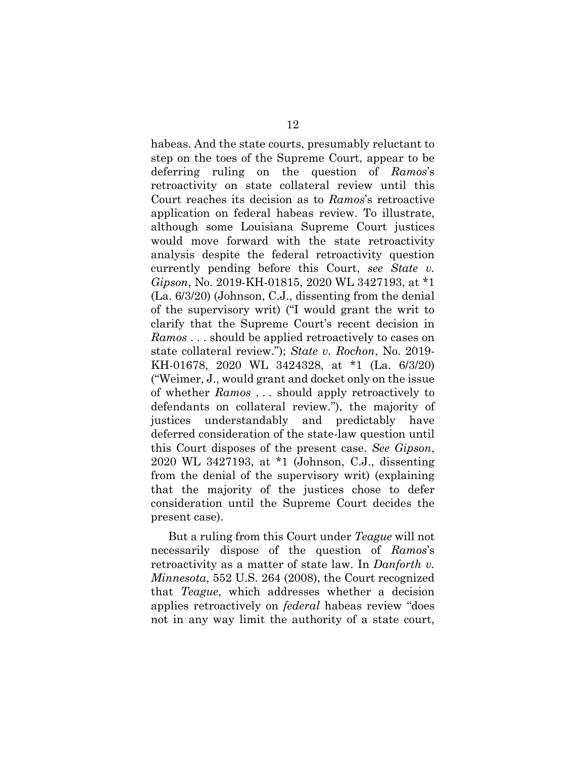<span id="page-16-1"></span>habeas. And the state courts, presumably reluctant to step on the toes of the Supreme Court, appear to be deferring ruling on the question of *Ramos*'s retroactivity on state collateral review until this Court reaches its decision as to *Ramos*'s retroactive application on federal habeas review. To illustrate, although some Louisiana Supreme Court justices would move forward with the state retroactivity analysis despite the federal retroactivity question currently pending before this Court, *see State v. Gipson*, No. 2019-KH-01815, 2020 WL 3427193, at \*1 (La. 6/3/20) (Johnson, C.J., dissenting from the denial of the supervisory writ) ("I would grant the writ to clarify that the Supreme Court's recent decision in *Ramos* . . . should be applied retroactively to cases on state collateral review."); *State v. Rochon*, No. 2019- KH-01678, 2020 WL 3424328, at \*1 (La. 6/3/20) ("Weimer, J., would grant and docket only on the issue of whether *Ramos* . . . should apply retroactively to defendants on collateral review."), the majority of justices understandably and predictably have deferred consideration of the state-law question until this Court disposes of the present case. *See Gipson*, 2020 WL 3427193, at \*1 (Johnson, C.J., dissenting from the denial of the supervisory writ) (explaining that the majority of the justices chose to defer consideration until the Supreme Court decides the present case).

<span id="page-16-2"></span><span id="page-16-0"></span>But a ruling from this Court under *Teague* will not necessarily dispose of the question of *Ramos*'s retroactivity as a matter of state law. In *Danforth v. Minnesota*, 552 U.S. 264 (2008), the Court recognized that *Teague*, which addresses whether a decision applies retroactively on *federal* habeas review "does not in any way limit the authority of a state court,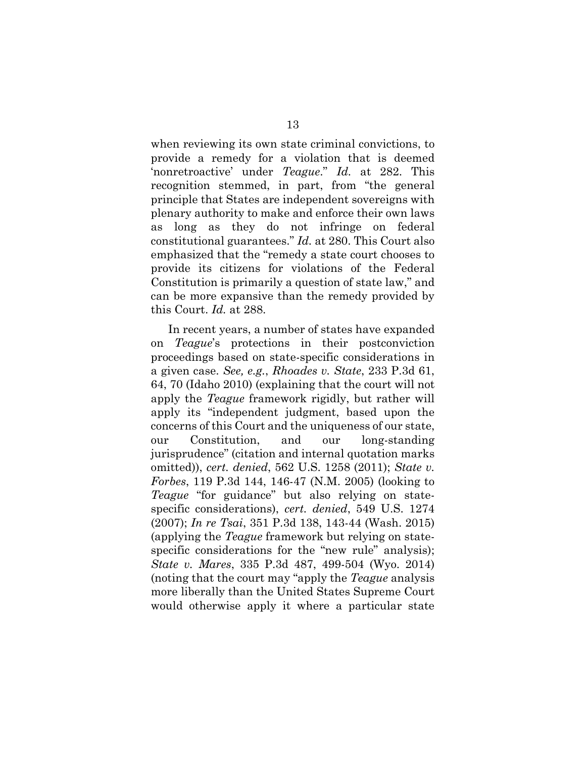<span id="page-17-0"></span>when reviewing its own state criminal convictions, to provide a remedy for a violation that is deemed 'nonretroactive' under *Teague*." *Id.* at 282. This recognition stemmed, in part, from "the general principle that States are independent sovereigns with plenary authority to make and enforce their own laws as long as they do not infringe on federal constitutional guarantees." *Id.* at 280. This Court also emphasized that the "remedy a state court chooses to provide its citizens for violations of the Federal Constitution is primarily a question of state law," and can be more expansive than the remedy provided by this Court. *Id.* at 288.

<span id="page-17-4"></span><span id="page-17-3"></span><span id="page-17-2"></span><span id="page-17-1"></span>In recent years, a number of states have expanded on *Teague*'s protections in their postconviction proceedings based on state-specific considerations in a given case. *See, e.g.*, *Rhoades v. State*, 233 P.3d 61, 64, 70 (Idaho 2010) (explaining that the court will not apply the *Teague* framework rigidly, but rather will apply its "independent judgment, based upon the concerns of this Court and the uniqueness of our state, our Constitution, and our long-standing jurisprudence" (citation and internal quotation marks omitted)), *cert. denied*, 562 U.S. 1258 (2011); *State v. Forbes*, 119 P.3d 144, 146-47 (N.M. 2005) (looking to *Teague* "for guidance" but also relying on statespecific considerations), *cert. denied*, 549 U.S. 1274 (2007); *In re Tsai*, 351 P.3d 138, 143-44 (Wash. 2015) (applying the *Teague* framework but relying on statespecific considerations for the "new rule" analysis); *State v. Mares*, 335 P.3d 487, 499-504 (Wyo. 2014) (noting that the court may "apply the *Teague* analysis more liberally than the United States Supreme Court would otherwise apply it where a particular state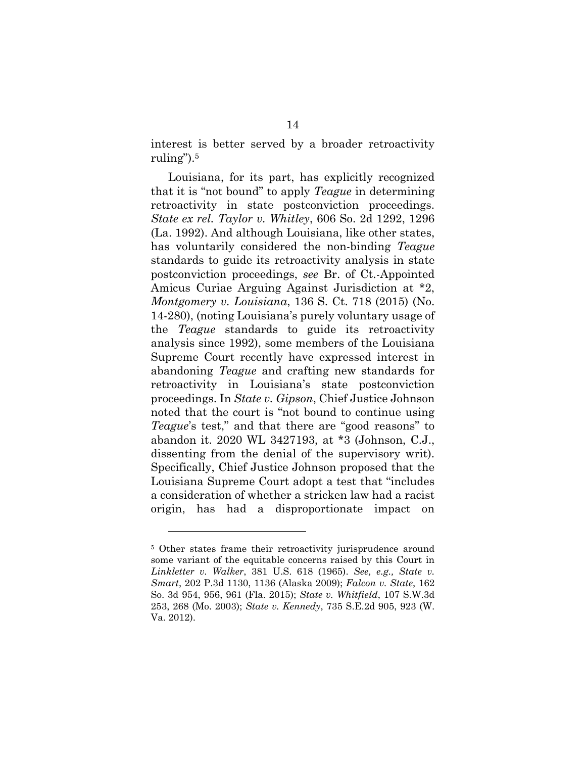interest is better served by a broader retroactivity ruling").<sup>5</sup>

<span id="page-18-7"></span><span id="page-18-2"></span>Louisiana, for its part, has explicitly recognized that it is "not bound" to apply *Teague* in determining retroactivity in state postconviction proceedings. *State ex rel. Taylor v. Whitley*, 606 So. 2d 1292, 1296 (La. 1992). And although Louisiana, like other states, has voluntarily considered the non-binding *Teague* standards to guide its retroactivity analysis in state postconviction proceedings, *see* Br. of Ct.-Appointed Amicus Curiae Arguing Against Jurisdiction at \*2, *Montgomery v. Louisiana*, 136 S. Ct. 718 (2015) (No. 14-280), (noting Louisiana's purely voluntary usage of the *Teague* standards to guide its retroactivity analysis since 1992), some members of the Louisiana Supreme Court recently have expressed interest in abandoning *Teague* and crafting new standards for retroactivity in Louisiana's state postconviction proceedings. In *State v. Gipson*, Chief Justice Johnson noted that the court is "not bound to continue using *Teague*'s test," and that there are "good reasons" to abandon it. 2020 WL 3427193, at \*3 (Johnson, C.J., dissenting from the denial of the supervisory writ). Specifically, Chief Justice Johnson proposed that the Louisiana Supreme Court adopt a test that "includes a consideration of whether a stricken law had a racist origin, has had a disproportionate impact on

<span id="page-18-6"></span><span id="page-18-5"></span><span id="page-18-4"></span><span id="page-18-3"></span><span id="page-18-0"></span>

<span id="page-18-1"></span><sup>&</sup>lt;sup>5</sup> Other states frame their retroactivity jurisprudence around some variant of the equitable concerns raised by this Court in *Linkletter v. Walker*, 381 U.S. 618 (1965). *See, e.g., State v. Smart*, 202 P.3d 1130, 1136 (Alaska 2009); *Falcon v. State*, 162 So. 3d 954, 956, 961 (Fla. 2015); *State v. Whitfield*, 107 S.W.3d 253, 268 (Mo. 2003); *State v. Kennedy*, 735 S.E.2d 905, 923 (W. Va. 2012).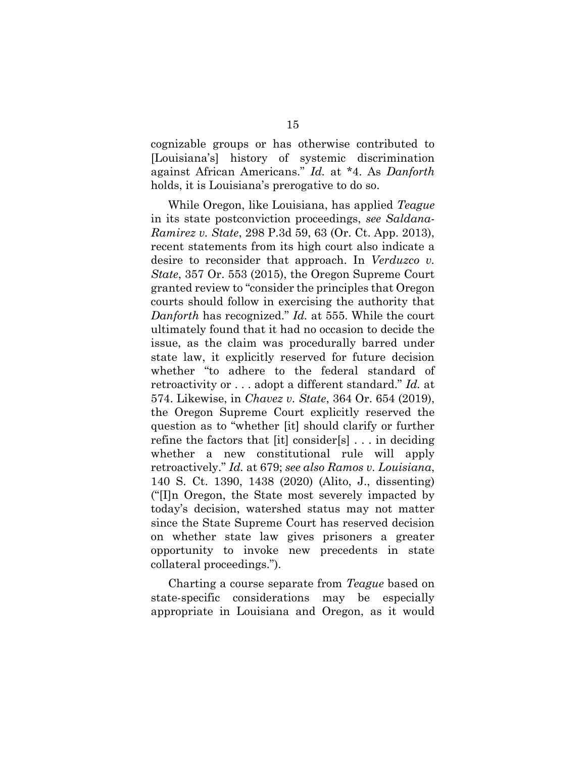<span id="page-19-3"></span>cognizable groups or has otherwise contributed to [Louisiana's] history of systemic discrimination against African Americans." *Id.* at \*4. As *Danforth* holds, it is Louisiana's prerogative to do so.

<span id="page-19-4"></span><span id="page-19-2"></span>While Oregon, like Louisiana, has applied *Teague* in its state postconviction proceedings, *see Saldana-Ramirez v. State*, 298 P.3d 59, 63 (Or. Ct. App. 2013), recent statements from its high court also indicate a desire to reconsider that approach. In *Verduzco v. State*, 357 Or. 553 (2015), the Oregon Supreme Court granted review to "consider the principles that Oregon courts should follow in exercising the authority that *Danforth* has recognized." *Id.* at 555. While the court ultimately found that it had no occasion to decide the issue, as the claim was procedurally barred under state law, it explicitly reserved for future decision whether "to adhere to the federal standard of retroactivity or . . . adopt a different standard." *Id.* at 574. Likewise, in *Chavez v. State*, 364 Or. 654 (2019), the Oregon Supreme Court explicitly reserved the question as to "whether [it] should clarify or further refine the factors that [it] consider[s] . . . in deciding whether a new constitutional rule will apply retroactively." *Id.* at 679; *see also Ramos v. Louisiana*, 140 S. Ct. 1390, 1438 (2020) (Alito, J., dissenting) ("[I]n Oregon, the State most severely impacted by today's decision, watershed status may not matter since the State Supreme Court has reserved decision on whether state law gives prisoners a greater opportunity to invoke new precedents in state collateral proceedings.").

<span id="page-19-1"></span><span id="page-19-0"></span>Charting a course separate from *Teague* based on state-specific considerations may be especially appropriate in Louisiana and Oregon, as it would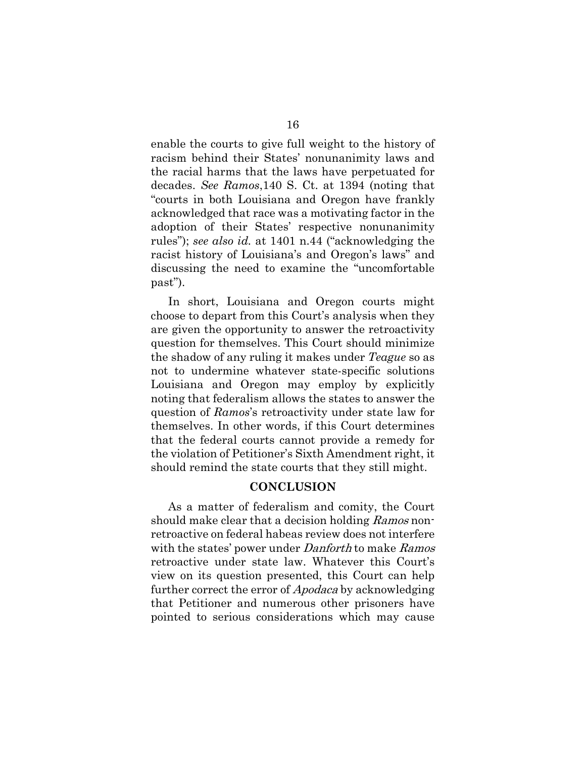<span id="page-20-1"></span>enable the courts to give full weight to the history of racism behind their States' nonunanimity laws and the racial harms that the laws have perpetuated for decades. *See Ramos*,140 S. Ct. at 1394 (noting that "courts in both Louisiana and Oregon have frankly acknowledged that race was a motivating factor in the adoption of their States' respective nonunanimity rules"); *see also id.* at 1401 n.44 ("acknowledging the racist history of Louisiana's and Oregon's laws" and discussing the need to examine the "uncomfortable past").

In short, Louisiana and Oregon courts might choose to depart from this Court's analysis when they are given the opportunity to answer the retroactivity question for themselves. This Court should minimize the shadow of any ruling it makes under *Teague* so as not to undermine whatever state-specific solutions Louisiana and Oregon may employ by explicitly noting that federalism allows the states to answer the question of *Ramos*'s retroactivity under state law for themselves. In other words, if this Court determines that the federal courts cannot provide a remedy for the violation of Petitioner's Sixth Amendment right, it should remind the state courts that they still might.

#### **CONCLUSION**

<span id="page-20-0"></span>As a matter of federalism and comity, the Court should make clear that a decision holding Ramos nonretroactive on federal habeas review does not interfere with the states' power under *Danforth* to make *Ramos* retroactive under state law. Whatever this Court's view on its question presented, this Court can help further correct the error of *Apodaca* by acknowledging that Petitioner and numerous other prisoners have pointed to serious considerations which may cause